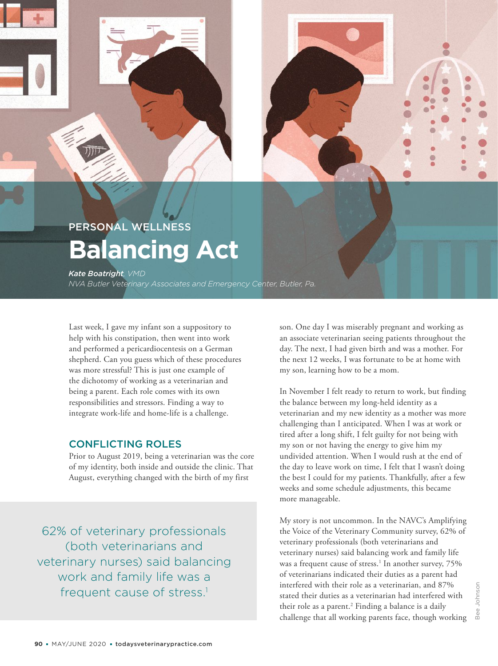# PERSONAL WELLNESS **Balancing Act**

*Kate Boatright, VMD NVA Butler Veterinary Associates and Emergency Center, Butler, Pa.*

FINDING BALANCE

Last week, I gave my infant son a suppository to help with his constipation, then went into work and performed a pericardiocentesis on a German shepherd. Can you guess which of these procedures was more stressful? This is just one example of the dichotomy of working as a veterinarian and being a parent. Each role comes with its own responsibilities and stressors. Finding a way to integrate work-life and home-life is a challenge.

#### CONFLICTING ROLES

Prior to August 2019, being a veterinarian was the core of my identity, both inside and outside the clinic. That August, everything changed with the birth of my first

62% of veterinary professionals (both veterinarians and veterinary nurses) said balancing work and family life was a frequent cause of stress.<sup>1</sup>

son. One day I was miserably pregnant and working as an associate veterinarian seeing patients throughout the day. The next, I had given birth and was a mother. For the next 12 weeks, I was fortunate to be at home with my son, learning how to be a mom.

In November I felt ready to return to work, but finding the balance between my long-held identity as a veterinarian and my new identity as a mother was more challenging than I anticipated. When I was at work or tired after a long shift, I felt guilty for not being with my son or not having the energy to give him my undivided attention. When I would rush at the end of the day to leave work on time, I felt that I wasn't doing the best I could for my patients. Thankfully, after a few weeks and some schedule adjustments, this became more manageable.

My story is not uncommon. In the NAVC's Amplifying the Voice of the Veterinary Community survey, 62% of veterinary professionals (both veterinarians and veterinary nurses) said balancing work and family life was a frequent cause of stress.<sup>1</sup> In another survey, 75% of veterinarians indicated their duties as a parent had interfered with their role as a veterinarian, and 87% stated their duties as a veterinarian had interfered with their role as a parent.<sup>2</sup> Finding a balance is a daily challenge that all working parents face, though working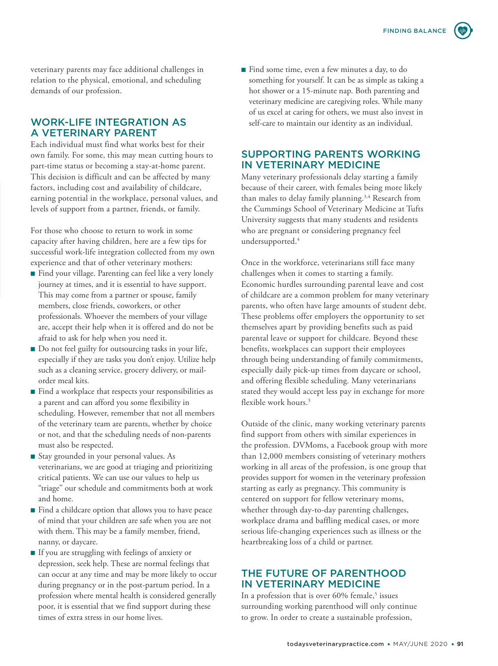veterinary parents may face additional challenges in relation to the physical, emotional, and scheduling demands of our profession.

### WORK-LIFE INTEGRATION AS A VETERINARY PARENT

Each individual must find what works best for their own family. For some, this may mean cutting hours to part-time status or becoming a stay-at-home parent. This decision is difficult and can be affected by many factors, including cost and availability of childcare, earning potential in the workplace, personal values, and levels of support from a partner, friends, or family.

For those who choose to return to work in some capacity after having children, here are a few tips for successful work-life integration collected from my own experience and that of other veterinary mothers:

- Find your village. Parenting can feel like a very lonely journey at times, and it is essential to have support. This may come from a partner or spouse, family members, close friends, coworkers, or other professionals. Whoever the members of your village are, accept their help when it is offered and do not be afraid to ask for help when you need it.
- Do not feel guilty for outsourcing tasks in your life, especially if they are tasks you don't enjoy. Utilize help such as a cleaning service, grocery delivery, or mailorder meal kits.
- Find a workplace that respects your responsibilities as a parent and can afford you some flexibility in scheduling. However, remember that not all members of the veterinary team are parents, whether by choice or not, and that the scheduling needs of non-parents must also be respected.
- Stay grounded in your personal values. As veterinarians, we are good at triaging and prioritizing critical patients. We can use our values to help us "triage" our schedule and commitments both at work and home.
- Find a childcare option that allows you to have peace of mind that your children are safe when you are not with them. This may be a family member, friend, nanny, or daycare.
- ■ If you are struggling with feelings of anxiety or depression, seek help. These are normal feelings that can occur at any time and may be more likely to occur during pregnancy or in the post-partum period. In a profession where mental health is considered generally poor, it is essential that we find support during these times of extra stress in our home lives.

■ Find some time, even a few minutes a day, to do something for yourself. It can be as simple as taking a hot shower or a 15-minute nap. Both parenting and veterinary medicine are caregiving roles. While many of us excel at caring for others, we must also invest in self-care to maintain our identity as an individual.

## SUPPORTING PARENTS WORKING IN VETERINARY MEDICINE

Many veterinary professionals delay starting a family because of their career, with females being more likely than males to delay family planning.<sup>3,4</sup> Research from the Cummings School of Veterinary Medicine at Tufts University suggests that many students and residents who are pregnant or considering pregnancy feel undersupported.<sup>4</sup>

Once in the workforce, veterinarians still face many challenges when it comes to starting a family. Economic hurdles surrounding parental leave and cost of childcare are a common problem for many veterinary parents, who often have large amounts of student debt. These problems offer employers the opportunity to set themselves apart by providing benefits such as paid parental leave or support for childcare. Beyond these benefits, workplaces can support their employees through being understanding of family commitments, especially daily pick-up times from daycare or school, and offering flexible scheduling. Many veterinarians stated they would accept less pay in exchange for more flexible work hours.<sup>3</sup>

Outside of the clinic, many working veterinary parents find support from others with similar experiences in the profession. DVMoms, a Facebook group with more than 12,000 members consisting of veterinary mothers working in all areas of the profession, is one group that provides support for women in the veterinary profession starting as early as pregnancy. This community is centered on support for fellow veterinary moms, whether through day-to-day parenting challenges, workplace drama and baffling medical cases, or more serious life-changing experiences such as illness or the heartbreaking loss of a child or partner.

## THE FUTURE OF PARENTHOOD IN VETERINARY MEDICINE

In a profession that is over 60% female,<sup>5</sup> issues surrounding working parenthood will only continue to grow. In order to create a sustainable profession,